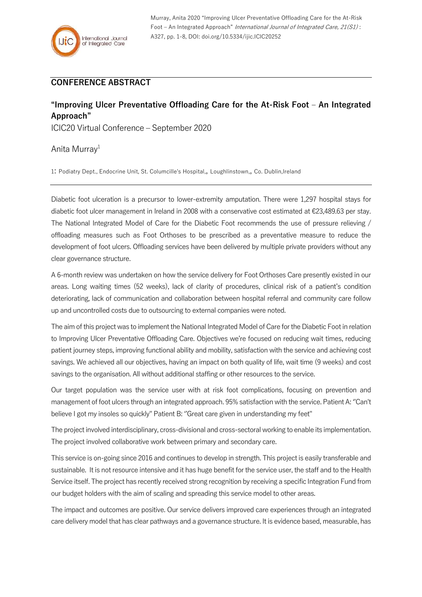Murray, Anita 2020 "Improving Ulcer Preventative Offloading Care for the At-Risk Foot – An Integrated Approach" International Journal of Integrated Care, 21(S1): A327, pp. 1-8, DOI: doi.org/10.5334/ijic.ICIC20252

## **CONFERENCE ABSTRACT**

## **"Improving Ulcer Preventative Offloading Care for the At-Risk Foot – An Integrated Approach"**

ICIC20 Virtual Conference – September 2020

## Anita Murray<sup>1</sup>

1: Podiatry Dept., Endocrine Unit, St. Columcille's Hospital,, Loughlinstown,, Co. Dublin,Ireland

Diabetic foot ulceration is a precursor to lower-extremity amputation. There were 1,297 hospital stays for diabetic foot ulcer management in Ireland in 2008 with a conservative cost estimated at €23,489.63 per stay. The National Integrated Model of Care for the Diabetic Foot recommends the use of pressure relieving / offloading measures such as Foot Orthoses to be prescribed as a preventative measure to reduce the development of foot ulcers. Offloading services have been delivered by multiple private providers without any clear governance structure.

A 6-month review was undertaken on how the service delivery for Foot Orthoses Care presently existed in our areas. Long waiting times (52 weeks), lack of clarity of procedures, clinical risk of a patient's condition deteriorating, lack of communication and collaboration between hospital referral and community care follow up and uncontrolled costs due to outsourcing to external companies were noted.

The aim of this projectwas to implement the National Integrated Model of Care for the Diabetic Foot in relation to Improving Ulcer Preventative Offloading Care. Objectives we're focused on reducing wait times, reducing patient journey steps, improving functional ability and mobility, satisfaction with the service and achieving cost savings. We achieved all our objectives, having an impact on both quality of life, wait time (9 weeks) and cost savings to the organisation. All without additional staffing or other resources to the service.

Our target population was the service user with at risk foot complications, focusing on prevention and management of foot ulcers through an integrated approach. 95% satisfaction with the service. Patient A: ''Can't believe I got my insoles so quickly" Patient B: ''Great care given in understanding my feet"

The project involved interdisciplinary, cross-divisional and cross-sectoral working to enable its implementation. The project involved collaborative work between primary and secondary care.

This service is on-going since 2016 and continues to develop in strength. This project is easily transferable and sustainable. It is not resource intensive and it has huge benefit for the service user, the staff and to the Health Service itself. The project has recently received strong recognition by receiving a specific Integration Fund from our budget holders with the aim of scaling and spreading this service model to other areas.

The impact and outcomes are positive. Our service delivers improved care experiences through an integrated care delivery model that has clear pathways and a governance structure. It is evidence based, measurable, has